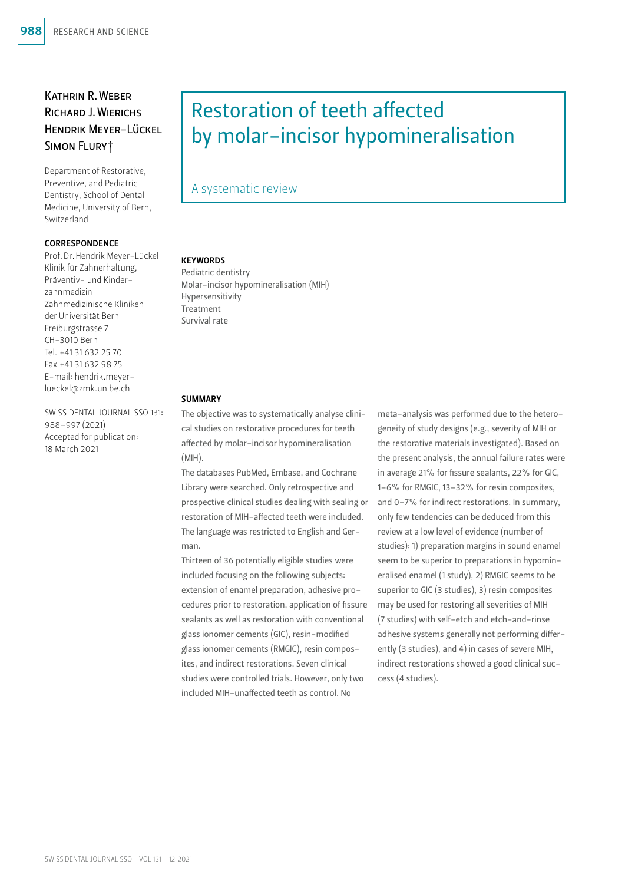## Kathrin R.Weber Richard J.Wierichs Hendrik Meyer-Lückel Simon Flury†

Department of Restorative, Preventive, and Pediatric Dentistry, School of Dental Medicine, University of Bern, Switzerland

#### CORRESPONDENCE

Prof.Dr.Hendrik Meyer-Lückel Klinik für Zahnerhaltung, Präventiv- und Kinderzahnmedizin Zahnmedizinische Kliniken der Universität Bern Freiburgstrasse 7 CH-3010 Bern Tel. +41 31 632 25 70 Fax +41 31 632 98 75 E-mail: [hendrik.meyer](mailto:hendrik.meyer-lueckel@zmk.unibe.ch)[lueckel@zmk.unibe.ch](mailto:hendrik.meyer-lueckel@zmk.unibe.ch)

SWISS DENTAL JOURNAL SSO 131: 988–997 (2021) Accepted for publication: 18 March 2021

# Restoration of teeth affected by molar-incisor hypomineralisation

## A systematic review

## **KEYWORDS**

Pediatric dentistry Molar-incisor hypomineralisation (MIH) Hypersensitivity Treatment Survival rate

#### **SUMMARY**

The objective was to systematically analyse clinical studies on restorative procedures for teeth affected by molar-incisor hypomineralisation (MIH).

The databases PubMed, Embase, and Cochrane Library were searched. Only retrospective and prospective clinical studies dealing with sealing or restoration of MIH-affected teeth were included. The language was restricted to English and German.

Thirteen of 36 potentially eligible studies were included focusing on the following subjects: extension of enamel preparation, adhesive procedures prior to restoration, application of fissure sealants as well as restoration with conventional glass ionomer cements (GIC), resin-modified glass ionomer cements (RMGIC), resin composites, and indirect restorations. Seven clinical studies were controlled trials. However, only two included MIH-unaffected teeth as control. No

meta-analysis was performed due to the heterogeneity of study designs (e.g., severity of MIH or the restorative materials investigated). Based on the present analysis, the annual failure rates were in average 21% for fissure sealants, 22% for GIC, 1–6% for RMGIC, 13–32% for resin composites, and 0–7% for indirect restorations. In summary, only few tendencies can be deduced from this review at a low level of evidence (number of studies): 1) preparation margins in sound enamel seem to be superior to preparations in hypomineralised enamel (1 study), 2) RMGIC seems to be superior to GIC (3 studies), 3) resin composites may be used for restoring all severities of MIH (7 studies) with self-etch and etch-and-rinse adhesive systems generally not performing differently (3 studies), and 4) in cases of severe MIH, indirect restorations showed a good clinical success (4 studies).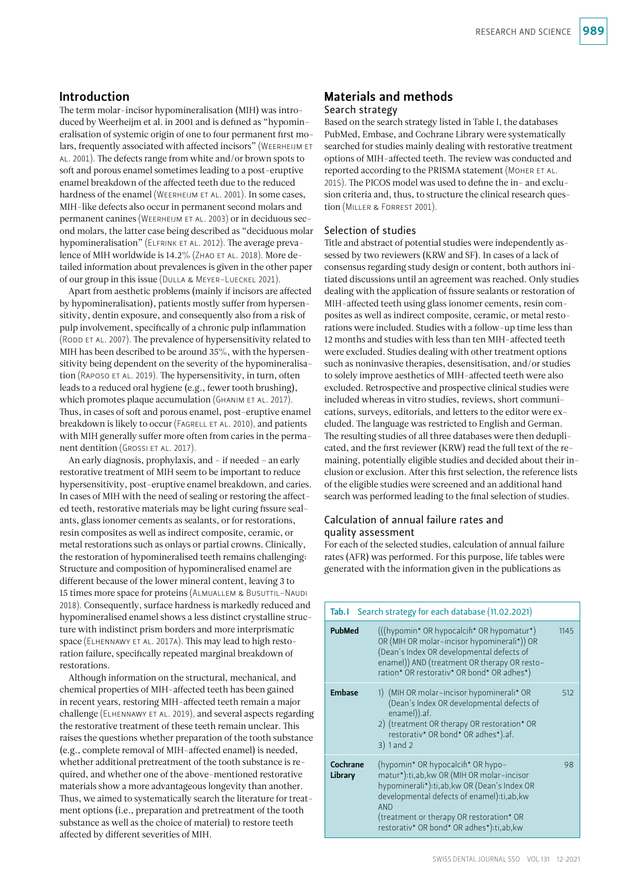## Introduction

The term molar-incisor hypomineralisation (MIH) was introduced by Weerheijm et al. in 2001 and is defined as "hypomineralisation of systemic origin of one to four permanent first molars, frequently associated with affected incisors" (Weerheijm et al. 2001). The defects range from white and/or brown spots to soft and porous enamel sometimes leading to a post-eruptive enamel breakdown of the affected teeth due to the reduced hardness of the enamel (Weerheijm et al. 2001). In some cases, MIH-like defects also occur in permanent second molars and permanent canines (WEERHEIJM ET AL. 2003) or in deciduous second molars, the latter case being described as "deciduous molar hypomineralisation" (ELFRINK ET AL. 2012). The average prevalence of MIH worldwide is 14.2% (ZHAO ET AL. 2018). More detailed information about prevalences is given in the other paper of our group in this issue (Dulla & Meyer-Lueckel 2021).

Apart from aesthetic problems (mainly if incisors are affected by hypomineralisation), patients mostly suffer from hypersensitivity, dentin exposure, and consequently also from a risk of pulp involvement, specifically of a chronic pulp inflammation (RODD ET AL. 2007). The prevalence of hypersensitivity related to MIH has been described to be around 35%, with the hypersensitivity being dependent on the severity of the hypomineralisation (RAPOSO ET AL. 2019). The hypersensitivity, in turn, often leads to a reduced oral hygiene (e.g., fewer tooth brushing), which promotes plaque accumulation (GHANIM ET AL. 2017). Thus, in cases of soft and porous enamel, post-eruptive enamel breakdown is likely to occur (FAGRELL ET AL. 2010), and patients with MIH generally suffer more often from caries in the permanent dentition (GROSSI ET AL. 2017).

An early diagnosis, prophylaxis, and – if needed – an early restorative treatment of MIH seem to be important to reduce hypersensitivity, post-eruptive enamel breakdown, and caries. In cases of MIH with the need of sealing or restoring the affected teeth, restorative materials may be light curing fissure sealants, glass ionomer cements as sealants, or for restorations, resin composites as well as indirect composite, ceramic, or metal restorations such as onlays or partial crowns. Clinically, the restoration of hypomineralised teeth remains challenging: Structure and composition of hypomineralised enamel are different because of the lower mineral content, leaving 3 to 15 times more space for proteins (Almuallem & Busuttil-Naudi 2018). Consequently, surface hardness is markedly reduced and hypomineralised enamel shows a less distinct crystalline structure with indistinct prism borders and more interprismatic space (ELHENNAWY ET AL. 2017A). This may lead to high restoration failure, specifically repeated marginal breakdown of restorations.

Although information on the structural, mechanical, and chemical properties of MIH-affected teeth has been gained in recent years, restoring MIH-affected teeth remain a major challenge (Elhennawy et al. 2019), and several aspects regarding the restorative treatment of these teeth remain unclear. This raises the questions whether preparation of the tooth substance (e.g., complete removal of MIH-affected enamel) is needed, whether additional pretreatment of the tooth substance is required, and whether one of the above-mentioned restorative materials show a more advantageous longevity than another. Thus, we aimed to systematically search the literature for treatment options (i.e., preparation and pretreatment of the tooth substance as well as the choice of material) to restore teeth affected by different severities of MIH.

# Materials and methods

## Search strategy

Based on the search strategy listed in Table I, the databases PubMed, Embase, and Cochrane Library were systematically searched for studies mainly dealing with restorative treatment options of MIH-affected teeth. The review was conducted and reported according to the PRISMA statement (MOHER ET AL. 2015). The PICOS model was used to define the in- and exclusion criteria and, thus, to structure the clinical research question (Miller & Forrest 2001).

#### Selection of studies

Title and abstract of potential studies were independently assessed by two reviewers (KRW and SF). In cases of a lack of consensus regarding study design or content, both authors initiated discussions until an agreement was reached. Only studies dealing with the application of fissure sealants or restoration of MIH-affected teeth using glass ionomer cements, resin composites as well as indirect composite, ceramic, or metal restorations were included. Studies with a follow-up time less than 12 months and studies with less than ten MIH-affected teeth were excluded. Studies dealing with other treatment options such as noninvasive therapies, desensitisation, and/or studies to solely improve aesthetics of MIH-affected teeth were also excluded. Retrospective and prospective clinical studies were included whereas in vitro studies, reviews, short communications, surveys, editorials, and letters to the editor were excluded. The language was restricted to English and German. The resulting studies of all three databases were then deduplicated, and the first reviewer (KRW) read the full text of the remaining, potentially eligible studies and decided about their inclusion or exclusion. After this first selection, the reference lists of the eligible studies were screened and an additional hand search was performed leading to the final selection of studies.

### Calculation of annual failure rates and quality assessment

For each of the selected studies, calculation of annual failure rates (AFR) was performed. For this purpose, life tables were generated with the information given in the publications as

| Tab.I               | Search strategy for each database (11.02.2021)                                                                                                                                                                                                                                      |     |  |  |  |  |  |
|---------------------|-------------------------------------------------------------------------------------------------------------------------------------------------------------------------------------------------------------------------------------------------------------------------------------|-----|--|--|--|--|--|
| <b>PubMed</b>       | (((hypomin* OR hypocalcifi* OR hypomatur*)<br>OR (MIH OR molar-incisor hypominerali*)) OR<br>(Dean's Index OR developmental defects of<br>enamel)) AND (treatment OR therapy OR resto-<br>ration* OR restorativ* OR bond* OR adhes*)                                                |     |  |  |  |  |  |
| Embase              | 1) (MIH OR molar-incisor hypominerali <sup>*</sup> OR<br>(Dean's Index OR developmental defects of<br>enamel)).af.<br>2) (treatment OR therapy OR restoration* OR<br>restorativ* OR bond* OR adhes*).af.<br>$3)$ 1 and 2                                                            | 512 |  |  |  |  |  |
| Cochrane<br>Library | (hypomin* OR hypocalcifi* OR hypo-<br>matur*):ti,ab, kw OR (MIH OR molar-incisor<br>hypominerali*):ti,ab,kw OR (Dean's Index OR<br>developmental defects of enamel):ti,ab, kw<br><b>AND</b><br>(treatment or therapy OR restoration* OR<br>restorativ* OR bond* OR adhes*):ti,ab,kw | 98  |  |  |  |  |  |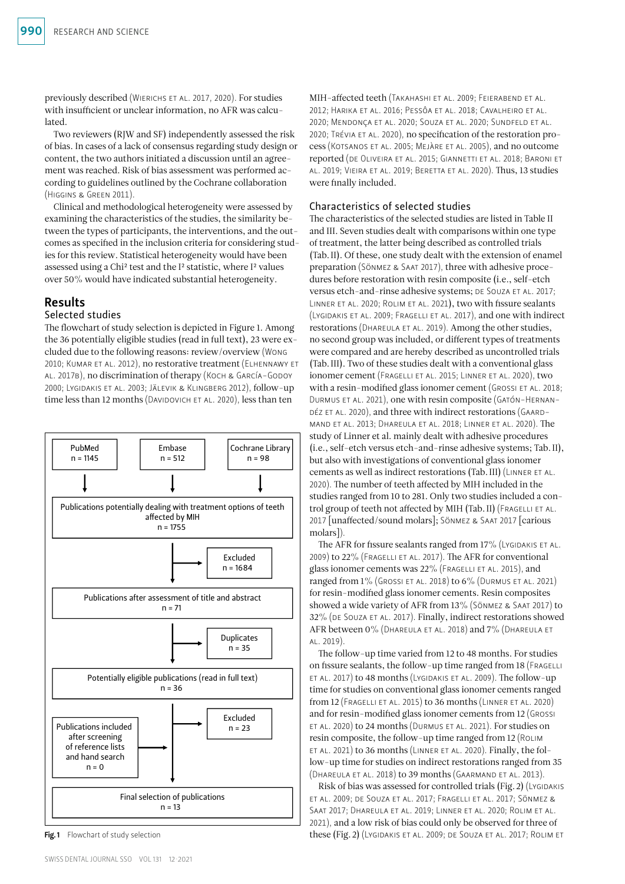previously described (Wierichs et al. 2017, 2020). For studies with insufficient or unclear information, no AFR was calculated.

Two reviewers (RJW and SF) independently assessed the risk of bias. In cases of a lack of consensus regarding study design or content, the two authors initiated a discussion until an agreement was reached. Risk of bias assessment was performed according to guidelines outlined by the Cochrane collaboration (Higgins & Green 2011).

Clinical and methodological heterogeneity were assessed by examining the characteristics of the studies, the similarity between the types of participants, the interventions, and the outcomes as specified in the inclusion criteria for considering studies for this review. Statistical heterogeneity would have been assessed using a Chi2 test and the I2 statistic, where I2 values over 50% would have indicated substantial heterogeneity.

## Results

## Selected studies

The flowchart of study selection is depicted in Figure 1. Among the 36 potentially eligible studies (read in full text), 23 were excluded due to the following reasons: review/overview (Wong 2010; Kumar et al. 2012), no restorative treatment (Elhennawy et al. 2017b), no discrimination of therapy (Koch & García-Godoy 2000; Lygidakis et al. 2003; Jälevik & Klingberg 2012), follow-up time less than 12 months (DAVIDOVICH ET AL. 2020), less than ten



Fig. 1 Flowchart of study selection

MIH-affected teeth (Takahashi et al. 2009; Feierabend et al. 2012; Harika et al. 2016; Pessôa et al. 2018; Cavalheiro et al. 2020; Mendonça et al. 2020; Souza et al. 2020; Sundfeld et al. 2020; Trévia et al. 2020), no specification of the restoration process (Kotsanos et al. 2005; Mejàre et al. 2005), and no outcome reported (de Oliveira et al. 2015; Giannetti et al. 2018; Baroni et al. 2019; Vieira et al. 2019; Beretta et al. 2020). Thus, 13 studies were finally included.

## Characteristics of selected studies

The characteristics of the selected studies are listed in Table II and III. Seven studies dealt with comparisons within one type of treatment, the latter being described as controlled trials (Tab.II). Of these, one study dealt with the extension of enamel preparation (Sönmez & Saat 2017), three with adhesive procedures before restoration with resin composite (i.e., self-etch versus etch-and-rinse adhesive systems; DE SOUZA ET AL. 2017; Linner et al. 2020; Rolim et al. 2021), two with fissure sealants (Lygidakis et al. 2009; Fragelli et al. 2017), and one with indirect restorations (DHAREULA ET AL. 2019). Among the other studies, no second group was included, or different types of treatments were compared and are hereby described as uncontrolled trials (Tab.III). Two of these studies dealt with a conventional glass ionomer cement (FRAGELLI ET AL. 2015; LINNER ET AL. 2020), two with a resin-modified glass ionomer cement (GROSSI ET AL. 2018; Durmus et al. 2021), one with resin composite (Gatón-Hernan-DÉZ ET AL. 2020), and three with indirect restorations (GAARDmand et al. 2013; Dhareula et al. 2018; Linner et al. 2020). The study of Linner et al. mainly dealt with adhesive procedures (i.e., self-etch versus etch-and-rinse adhesive systems; Tab.II), but also with investigations of conventional glass ionomer cements as well as indirect restorations (Tab.III) (Linner et al. 2020). The number of teeth affected by MIH included in the studies ranged from 10 to 281. Only two studies included a control group of teeth not affected by MIH (Tab. II) (FRAGELLI ET AL. 2017 [unaffected/sound molars]; Sönmez & Saat 2017 [carious molars]).

The AFR for fissure sealants ranged from 17% (LYGIDAKIS ET AL. 2009) to 22% (Fragelli et al. 2017). The AFR for conventional glass ionomer cements was 22% (FRAGELLI ET AL. 2015), and ranged from  $1\%$  (Grossi ET AL. 2018) to  $6\%$  (Durmus ET AL. 2021) for resin-modified glass ionomer cements. Resin composites showed a wide variety of AFR from 13% (Sönmez & Saat 2017) to 32% (DE SOUZA ET AL. 2017). Finally, indirect restorations showed AFR between 0% (Dhareula et al. 2018) and 7% (Dhareula et al. 2019).

The follow-up time varied from 12 to 48 months. For studies on fissure sealants, the follow-up time ranged from 18 (FRAGELLI et al. 2017) to 48 months (Lygidakis et al. 2009). The follow-up time for studies on conventional glass ionomer cements ranged from 12 (Fragelli et al. 2015) to 36 months (Linner et al. 2020) and for resin-modified glass ionomer cements from 12 (Grossi et al. 2020) to 24 months (Durmus et al. 2021). For studies on resin composite, the follow-up time ranged from 12 (Rolim et al. 2021) to 36 months (Linner et al. 2020). Finally, the follow-up time for studies on indirect restorations ranged from 35 (Dhareula et al. 2018) to 39 months (Gaarmand et al. 2013).

Risk of bias was assessed for controlled trials (Fig. 2) (LYGIDAKIS et al. 2009; de Souza et al. 2017; Fragelli et al. 2017; Sönmez & Saat 2017; Dhareula et al. 2019; Linner et al. 2020; Rolim et al. 2021), and a low risk of bias could only be observed for three of these (Fig.2) (Lygidakis et al. 2009; de Souza et al. 2017; Rolim et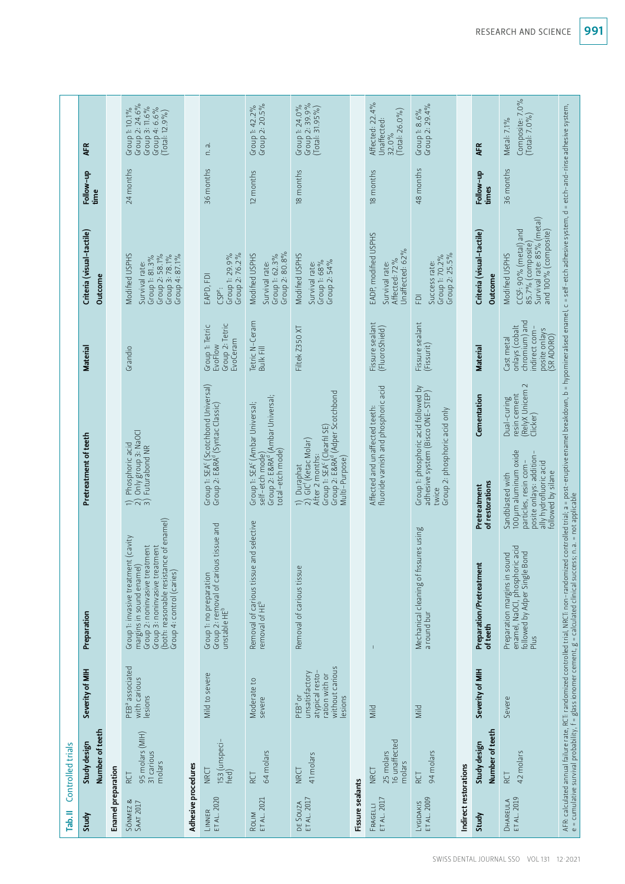| Tab.II                   | Controlled trials                                   |                                                                                                |                                                                                                                                                                                                                                |                                                                                                                                                                                                                     |                                                                                               |                                                                                                                                 |                    |                                                                                          |
|--------------------------|-----------------------------------------------------|------------------------------------------------------------------------------------------------|--------------------------------------------------------------------------------------------------------------------------------------------------------------------------------------------------------------------------------|---------------------------------------------------------------------------------------------------------------------------------------------------------------------------------------------------------------------|-----------------------------------------------------------------------------------------------|---------------------------------------------------------------------------------------------------------------------------------|--------------------|------------------------------------------------------------------------------------------|
| Study                    | Number of teeth<br>Study design                     | Severity of MIH                                                                                | Preparation                                                                                                                                                                                                                    | Pretreatment of teeth                                                                                                                                                                                               | Materia                                                                                       | Criteria (visual-tactile)<br>Outcome                                                                                            | Follow-up<br>time  | ÆR                                                                                       |
| Enamel preparation       |                                                     |                                                                                                |                                                                                                                                                                                                                                |                                                                                                                                                                                                                     |                                                                                               |                                                                                                                                 |                    |                                                                                          |
| SÖNMEZ &<br>SAAT 2017    | 95 molars (MIH)<br>31 carious<br>molars<br>RCT      | PEB <sup>a</sup> associated<br>with carious<br>lesions                                         | (both: reasonable resistance of enamel)<br>Group 1: invasive treatment (cavity<br>Group 2: noninvasive treatment<br>Group 3: noninvasive treatment<br>margins in sound enamel)<br>Group 4: control (caries)                    | Only group 3: NaOCI<br>Phosphoric acid<br>Futurabond NR<br>$= \widehat{\sqrt{n}}$                                                                                                                                   | Grandio                                                                                       | <b>Modified USPHS</b><br>Group 2: 58.1%<br>Group 3: 78.1%<br>Group 4: 87.1%<br>Survival rate:<br>Group 1: 81.3%                 | 24 months          | Group 2: 24.6%<br>Group 3: 11.6%<br>Group 4: 6.6%<br>Group 1: 10.1%<br>$(Total: 12.9\%)$ |
| Adhesive procedures      |                                                     |                                                                                                |                                                                                                                                                                                                                                |                                                                                                                                                                                                                     |                                                                                               |                                                                                                                                 |                    |                                                                                          |
| ET AL. 2020<br>LINNER    | 153 (unspeci-<br>fied)<br><b>NRCT</b>               | Mild to severe                                                                                 | Group 2: removal of carious tissue and<br>unstable HE <sup>b</sup><br>Group 1: no preparation                                                                                                                                  | Group 1: SEA <sup>c</sup> (Scotchbond Universal)<br>Group 2: E&RA <sup>d</sup> (Syntac Classic)                                                                                                                     | Group 2: Tetric<br>Group 1: Tetric<br>EvoCeram<br>EvoFlow                                     | Group 1: 29.9%<br>Group 2: 76.2%<br>EAPD, FDI<br>CSP <sup>e</sup> :                                                             | 36 months          | n.a.                                                                                     |
| ET AL. 2021<br>ROLIM     | 64 molars<br>RCT                                    | Moderate to<br>severe                                                                          | Removal of carious tissue and selective<br>removal of HE <sup>b</sup>                                                                                                                                                          | self-etch mode)<br>Group 2: E&RA <sup>d</sup> (Ambar Universal;<br>Group 1: SEA <sup>c</sup> (Ambar Universal;<br>total-etch mode)                                                                                  | Tetric N-Ceram<br><b>Bulk Fill</b>                                                            | Group 2: 80.8%<br>Modified USPHS<br>Group 1: 62.3%<br>Survival rate:                                                            | 12 months          | Group 2: 20.5%<br>Group 1: 42.2%                                                         |
| ET AL. 2017<br>DE SOUZA  | 41 molars<br><b>NRCT</b>                            | without carious<br>unsatisfactory<br>atypical resto-<br>ration with or<br>lesions<br>$PEBa$ or | Removal of carious tissue                                                                                                                                                                                                      | oroup 2: E&RA <sup>d</sup> (Adper Scotchbond)<br>Group 1: SEA <sup>c</sup> (Clearfil SE)<br>1) Duraphat<br>2) GIC <sup>f</sup> (Ketac Molar)<br>After 2 months:<br>Multi-Purpose)                                   | Filtek Z350 XT                                                                                | Modified USPHS<br>Group 2: 54%<br>Group 1: 68%<br>Survival rate:                                                                | 18 months          | Group 2: 39.9%<br>(Total: 31.95%)<br>Group 1: 24.0%                                      |
| Fissure sealants         |                                                     |                                                                                                |                                                                                                                                                                                                                                |                                                                                                                                                                                                                     |                                                                                               |                                                                                                                                 |                    |                                                                                          |
| ET AL. 2017<br>FRAGELLI  | 16 unaffected<br>25 molars<br>molars<br><b>NRCT</b> | Mild                                                                                           | T                                                                                                                                                                                                                              | fluoride varnish and phosphoric acid<br>Affected and unaffected teeth:                                                                                                                                              | Fissure sealant<br>(FluoroShield)                                                             | EADP, modified USPHS<br>Unaffected: 62%<br>Affected: 72%<br>Survival rate:                                                      | 18 months          | Affected: 22.4%<br>$[Total: 26.0\%]$<br>Unaffected:<br>32.0%                             |
| ET AL. 2009<br>LYGIDAKIS | 94 molars<br>RCT                                    | Mild                                                                                           | Mechanical cleaning of fissures using<br>a round bur                                                                                                                                                                           | Group 1: phosphoric acid followed by<br>adhesive system (Bisco ONE-STEP)<br>Group 2: phosphoric acid only<br>twice                                                                                                  | Fissure sealant<br>(Fissurit)                                                                 | Group 2: 25.5%<br>Group 1: 70.2%<br>Success rate:<br>豆                                                                          | 48 months          | Group 2: 29.4%<br>Group 1: 8.6%                                                          |
| Indirect restorations    |                                                     |                                                                                                |                                                                                                                                                                                                                                |                                                                                                                                                                                                                     |                                                                                               |                                                                                                                                 |                    |                                                                                          |
| Study                    | Number of teeth<br>Study design                     | Severity of MIH                                                                                | Preparation/Pretreatment<br>of teeth                                                                                                                                                                                           | Cementation<br>of restorations<br>Pretreatment                                                                                                                                                                      | Material                                                                                      | Criteria (visual-tactile)<br>Outcome                                                                                            | Follow-up<br>times | ÆR                                                                                       |
| ET AL. 2019<br>DHAREULA  | 42 molars<br>RCT                                    | Severe                                                                                         | Preparation margins in sound<br>enamel, NaOCl, phosphoric acid<br>followed by Adper Single Bond<br>Plus                                                                                                                        | $\sim$<br>RelyX Unicem<br>resin cement<br>Dual-curing<br>Clicker)<br>100 µm aluminum oxide<br>posite onlays: addition-<br>ally hydrofluoric acid<br>particles, resin com-<br>followed by silane<br>Sandblasted with | chromium) and<br>onlays (cobalt<br>indirect com-<br>posite onlays<br>(SR ADORO)<br>Cast metal | Survival rate: 85% (metal)<br>CCS <sup>g</sup> : 90% (metal) and<br>and 100% (composite)<br>85.7% (composite)<br>Modified USPHS | 36 months          | Composite: 7.0%<br>$(Total: 7.0\%)$<br>Metal: 7.1%                                       |
|                          |                                                     |                                                                                                | AFR calculated annual fallure rate, RCT: randomized controlled trial, NRCT: non-randomized controlled trial; a = post-eruptive enamel breakdown, b = hypomineralised enamel, c = self-etch adhesive system, d = etch-and–rinse |                                                                                                                                                                                                                     |                                                                                               |                                                                                                                                 |                    |                                                                                          |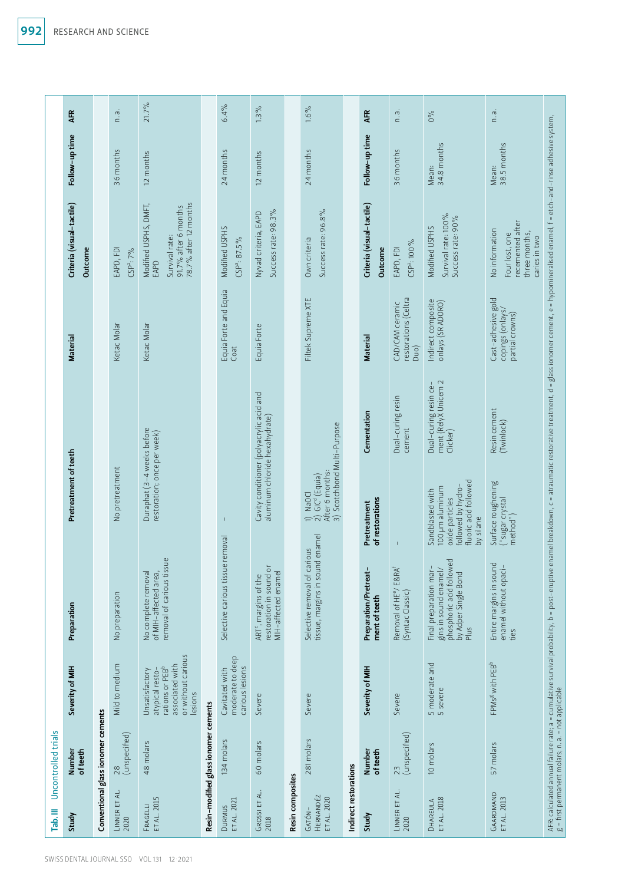|                     | <b>AFR</b>                           |                                    | n. a.                              | 21.7%                                                                                                    |                                      | 6.4%                                                  | $1.3\%$                                                                             |                  | $1.6\%$                                                                                   |                       | <b>AFR</b>                             | ie.<br>C                                                              | $0\%$                                                                                                              | n. a.                                                                                  |                                                                                                                                                   |
|---------------------|--------------------------------------|------------------------------------|------------------------------------|----------------------------------------------------------------------------------------------------------|--------------------------------------|-------------------------------------------------------|-------------------------------------------------------------------------------------|------------------|-------------------------------------------------------------------------------------------|-----------------------|----------------------------------------|-----------------------------------------------------------------------|--------------------------------------------------------------------------------------------------------------------|----------------------------------------------------------------------------------------|---------------------------------------------------------------------------------------------------------------------------------------------------|
|                     | Follow-up time                       |                                    | 36 months                          | 12 months                                                                                                |                                      | 24 months                                             | 12 months                                                                           |                  | 24 months                                                                                 |                       | Follow-up time                         | 36 months                                                             | 34.8 months<br>Mean:                                                                                               | 38.5 months<br>Mean:                                                                   |                                                                                                                                                   |
|                     | Criteria (visual-tactile)<br>Outcome |                                    | EAPD, FDI<br>CSP <sup>a</sup> : 7% | 78.7% after 12 months<br>Modified USPHS, DMFT,<br>91.7% after 6 months<br>Survival rate:<br>EAPD         |                                      | Modified USPHS<br>$CSPa$ : 87.5%                      | Success rate: 98.3%<br>Nyvad criteria, EAPD                                         |                  | Success rate: 96.8%<br>Own criteria                                                       |                       | Criteria (visual-tactile)<br>Outcome   | CSP <sup>a</sup> : 100%<br>EAPD, FDI                                  | Survival rate: 100%<br>Success rate: 90%<br>Modified USPHS                                                         | recemented after<br>No information<br>three months,<br>Four lost, one<br>caries in two |                                                                                                                                                   |
|                     | <b>Material</b>                      |                                    | Ketac Molar                        | Ketac Molar                                                                                              |                                      | Equia Forte and Equia<br>Coat                         | Equia Forte                                                                         |                  | Filtek Supreme XTE                                                                        |                       | <b>Material</b>                        | restorations (Celtra<br>CAD/CAM ceramic<br>Duo)                       | Indirect composite<br>onlays (SR ADORO)                                                                            | Cast-adhesive gold<br>copings (onlays/<br>partial crowns)                              |                                                                                                                                                   |
|                     | Pretreatment of teeth                |                                    | No pretreatment                    | Duraphat (3-4 weeks before<br>restoration; once per week)                                                |                                      |                                                       | Cavity conditioner (polyacrylic acid and<br>aluminum chloride hexahydrate)          |                  | 3) Scotchbond Multi-Purpose<br>1) NaOCI<br>2) GIC <sup>d</sup> (Equia)<br>After 6 months: |                       | Cementation                            | Dual-curing resin<br>cement                                           | Dual-curing resin ce-<br>ment (RelyX Unicem 2<br>Clicker)                                                          | Resin cement<br>(Twinlock)                                                             | enamel breakdown, c = atraumatic restorative treatment, d = glass ionomer cement, e = hypomineralised enamel, f = etch-and-rinse adhesive system, |
|                     |                                      |                                    |                                    |                                                                                                          |                                      |                                                       |                                                                                     |                  |                                                                                           |                       | of restorations<br>Pretreatment        |                                                                       | fluoric acid followed<br>followed by hydro-<br>100 µm aluminum<br>Sandblasted with<br>oxide particles<br>by silane | Surface roughening<br>("sugar crystal<br>method")                                      |                                                                                                                                                   |
|                     | Preparation                          |                                    | No preparation                     | removal of carious tissue<br>No complete removal<br>of MIH-affected area,                                |                                      | Selective carious tissue removal                      | restoration in sound or<br>MIH-affected enamel<br>ART <sup>c</sup> , margins of the |                  | tissue, margins in sound enamel<br>Selective removal of carious                           |                       | Preparation/Pretreat-<br>ment of teeth | ESRA <sup>f</sup><br>Removal of HE <sup>e</sup> /<br>(Syntac Classic) | phosphoric acid followed<br>Final preparation mar-<br>gins in sound enamel/<br>by Adper Single Bond<br>Plus        | Entire margins in sound<br>enamel without opaci-<br>ties                               | AFR: calculated annual failure rate; a = cumulative survival probability, b = post-eruptive<br>g = first permanent molars; n. a. = not applicable |
|                     | Severity of MIH                      |                                    | Mild to medium                     | or without carious<br>associated with<br>rations or PEBb<br>atypical resto-<br>Unsatisfactory<br>lesions |                                      | moderate to deep<br>carious lesions<br>Cavitated with | Severe                                                                              |                  | Severe                                                                                    |                       | Severity of MIH                        | Severe                                                                | 5 moderate and<br>5 severe                                                                                         | FPMs <sup>g</sup> with PEB <sup>b</sup>                                                |                                                                                                                                                   |
| Uncontrolled trials | Number<br>of teeth                   | Conventional glass ionomer cements | (unspecified)<br>$\overline{28}$   | 48 molars                                                                                                | Resin-modified glass ionomer cements | 134 molars                                            | 60 molars                                                                           |                  | 281 molars                                                                                |                       | Number<br>of teeth                     | 23<br>(unspecified)                                                   | 10 molars                                                                                                          | 57 molars                                                                              |                                                                                                                                                   |
| Tab. III            | Study                                |                                    | LINNER ET AL<br>2020               | ET AL. 2015<br>FRAGELLI                                                                                  |                                      | DURMUS<br>ET AL. 2021                                 | GROSSI ET AL.<br>2018                                                               | Resin composites | HERNANDÉZ<br>ET AL. 2020<br>GATÓN-                                                        | Indirect restorations | Study                                  | LINNER ET AL.<br>2020                                                 | DHAREULA<br>ET AL. 2018                                                                                            | GAARDMAND<br>ET AL. 2013                                                               |                                                                                                                                                   |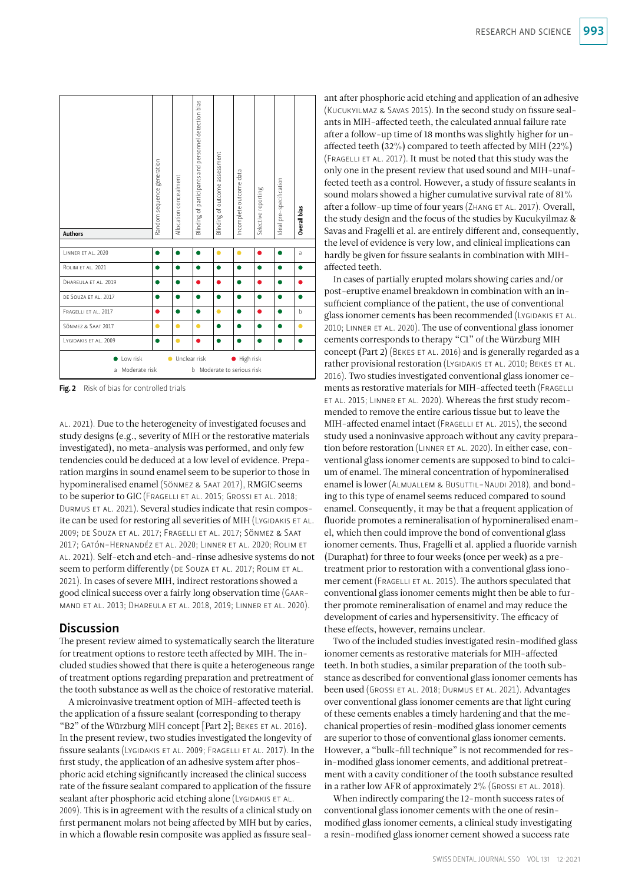| <b>Authors</b>                 | Random sequence generation | Allocation concealment    | Blinding of participants and personnel detection bias | Blinding of outcome assessment | Incomplete outcome data | Selective reporting | Ideal pre-specification | Overall bias |
|--------------------------------|----------------------------|---------------------------|-------------------------------------------------------|--------------------------------|-------------------------|---------------------|-------------------------|--------------|
| LINNER ET AL. 2020             | n                          | ●                         | 6                                                     | $\bullet$                      | $\bullet$               | ●                   | ●                       | a            |
| ROLIM ET AL. 2021              |                            |                           |                                                       |                                |                         | ●                   | œ                       |              |
| DHAREULA ET AL. 2019           |                            |                           |                                                       |                                |                         |                     |                         |              |
| DE SOUZA ET AL. 2017           | D                          |                           |                                                       |                                |                         | 0                   | O                       |              |
| FRAGELLI ET AL. 2017           | ●                          | ●                         |                                                       | $\bullet$                      | ●                       | ●                   | O                       | b            |
| SÖNMEZ & SAAT 2017             | ٠                          | ٠                         | ●                                                     |                                |                         | ●                   | Ω                       | 0            |
| LYGIDAKIS ET AL. 2009          | D                          | Ο                         |                                                       |                                |                         |                     | 6                       |              |
| Low risk<br>Moderate risk<br>a |                            | Unclear risk<br>$\bullet$ | b.                                                    | Moderate to serious risk       | High risk<br>٠          |                     |                         |              |

Fig. 2 Risk of bias for controlled trials

al. 2021). Due to the heterogeneity of investigated focuses and study designs (e.g., severity of MIH or the restorative materials investigated), no meta-analysis was performed, and only few tendencies could be deduced at a low level of evidence. Preparation margins in sound enamel seem to be superior to those in hypomineralised enamel (Sönmez & Saat 2017), RMGIC seems to be superior to GIC (FRAGELLI ET AL. 2015; GROSSI ET AL. 2018; Durmus et al. 2021). Several studies indicate that resin composite can be used for restoring all severities of MIH (LYGIDAKIS ET AL. 2009; de Souza et al. 2017; Fragelli et al. 2017; Sönmez & Saat 2017; Gatón-Hernandéz et al. 2020; Linner et al. 2020; Rolim et al. 2021). Self-etch and etch-and-rinse adhesive systems do not seem to perform differently (DE SOUZA ET AL. 2017; ROLIM ET AL. 2021). In cases of severe MIH, indirect restorations showed a good clinical success over a fairly long observation time (Gaarmand et al. 2013; Dhareula et al. 2018, 2019; Linner et al. 2020).

## **Discussion**

The present review aimed to systematically search the literature for treatment options to restore teeth affected by MIH. The included studies showed that there is quite a heterogeneous range of treatment options regarding preparation and pretreatment of the tooth substance as well as the choice of restorative material.

A microinvasive treatment option of MIH-affected teeth is the application of a fissure sealant (corresponding to therapy "B2" of the Würzburg MIH concept [Part 2]; BEKES ET AL. 2016). In the present review, two studies investigated the longevity of fissure sealants (Lygidakis et al. 2009; Fragelli et al. 2017). In the first study, the application of an adhesive system after phosphoric acid etching significantly increased the clinical success rate of the fissure sealant compared to application of the fissure sealant after phosphoric acid etching alone (LYGIDAKIS ET AL. 2009). This is in agreement with the results of a clinical study on first permanent molars not being affected by MIH but by caries, in which a flowable resin composite was applied as fissure sealant after phosphoric acid etching and application of an adhesive (Kucukyilmaz & Savas 2015). In the second study on fissure sealants in MIH-affected teeth, the calculated annual failure rate after a follow-up time of 18 months was slightly higher for unaffected teeth (32%) compared to teeth affected by MIH (22%) (FRAGELLI ET AL. 2017). It must be noted that this study was the only one in the present review that used sound and MIH-unaffected teeth as a control. However, a study of fissure sealants in sound molars showed a higher cumulative survival rate of 81% after a follow-up time of four years (ZHANG ET AL. 2017). Overall, the study design and the focus of the studies by Kucukyilmaz & Savas and Fragelli et al. are entirely different and, consequently, the level of evidence is very low, and clinical implications can hardly be given for fissure sealants in combination with MIHaffected teeth.

In cases of partially erupted molars showing caries and/or post-eruptive enamel breakdown in combination with an insufficient compliance of the patient, the use of conventional glass ionomer cements has been recommended (LYGIDAKIS ET AL. 2010; Linner et al. 2020). The use of conventional glass ionomer cements corresponds to therapy "C1" of the Würzburg MIH concept (Part 2) (Bekes et al. 2016) and is generally regarded as a rather provisional restoration (Lygidakis et al. 2010; Bekes et al. 2016). Two studies investigated conventional glass ionomer cements as restorative materials for MIH-affected teeth (Fragelli et al. 2015; Linner et al. 2020). Whereas the first study recommended to remove the entire carious tissue but to leave the MIH-affected enamel intact (FRAGELLI ET AL. 2015), the second study used a noninvasive approach without any cavity preparation before restoration (Linner et al. 2020). In either case, conventional glass ionomer cements are supposed to bind to calcium of enamel. The mineral concentration of hypomineralised enamel is lower (ALMUALLEM & BUSUTTIL-NAUDI 2018), and bonding to this type of enamel seems reduced compared to sound enamel. Consequently, it may be that a frequent application of fluoride promotes a remineralisation of hypomineralised enamel, which then could improve the bond of conventional glass ionomer cements. Thus, Fragelli et al. applied a fluoride varnish (Duraphat) for three to four weeks (once per week) as a pretreatment prior to restoration with a conventional glass ionomer cement (FRAGELLI ET AL. 2015). The authors speculated that conventional glass ionomer cements might then be able to further promote remineralisation of enamel and may reduce the development of caries and hypersensitivity. The efficacy of these effects, however, remains unclear.

Two of the included studies investigated resin-modified glass ionomer cements as restorative materials for MIH-affected teeth. In both studies, a similar preparation of the tooth substance as described for conventional glass ionomer cements has been used (GROSSI ET AL. 2018; DURMUS ET AL. 2021). Advantages over conventional glass ionomer cements are that light curing of these cements enables a timely hardening and that the mechanical properties of resin-modified glass ionomer cements are superior to those of conventional glass ionomer cements. However, a "bulk-fill technique" is not recommended for resin-modified glass ionomer cements, and additional pretreatment with a cavity conditioner of the tooth substance resulted in a rather low AFR of approximately  $2\%$  (GROSSI ET AL. 2018).

When indirectly comparing the 12-month success rates of conventional glass ionomer cements with the one of resinmodified glass ionomer cements, a clinical study investigating a resin-modified glass ionomer cement showed a success rate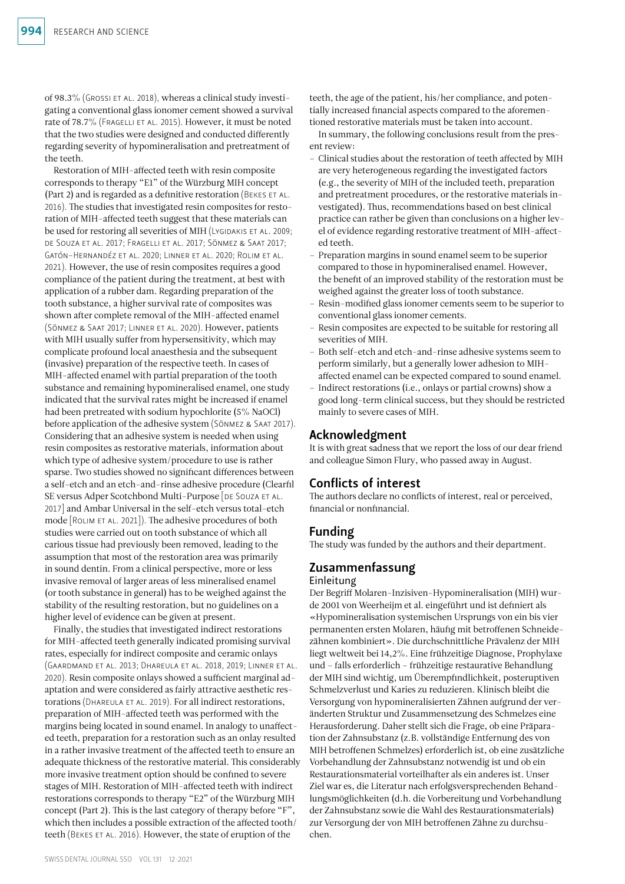of 98.3% (Grossi et al. 2018), whereas a clinical study investigating a conventional glass ionomer cement showed a survival rate of 78.7% (Fragelli et al. 2015). However, it must be noted that the two studies were designed and conducted differently regarding severity of hypomineralisation and pretreatment of the teeth.

Restoration of MIH-affected teeth with resin composite corresponds to therapy "E1" of the Würzburg MIH concept (Part 2) and is regarded as a definitive restoration (Bekes et al. 2016). The studies that investigated resin composites for restoration of MIH-affected teeth suggest that these materials can be used for restoring all severities of MIH (LYGIDAKIS ET AL. 2009; de Souza et al. 2017; Fragelli et al. 2017; Sönmez & Saat 2017; Gatón-Hernandéz et al. 2020; Linner et al. 2020; Rolim et al. 2021). However, the use of resin composites requires a good compliance of the patient during the treatment, at best with application of a rubber dam. Regarding preparation of the tooth substance, a higher survival rate of composites was shown after complete removal of the MIH-affected enamel (Sönmez & Saat 2017; Linner et al. 2020). However, patients with MIH usually suffer from hypersensitivity, which may complicate profound local anaesthesia and the subsequent (invasive) preparation of the respective teeth. In cases of MIH-affected enamel with partial preparation of the tooth substance and remaining hypomineralised enamel, one study indicated that the survival rates might be increased if enamel had been pretreated with sodium hypochlorite (5% NaOCl) before application of the adhesive system (Sönmez & Saat 2017). Considering that an adhesive system is needed when using resin composites as restorative materials, information about which type of adhesive system/procedure to use is rather sparse. Two studies showed no significant differences between a self-etch and an etch-and-rinse adhesive procedure (Clearfil SE versus Adper Scotchbond Multi-Purpose [DE SOUZA ET AL. 2017] and Ambar Universal in the self-etch versus total-etch mode [Rolim et al. 2021]). The adhesive procedures of both studies were carried out on tooth substance of which all carious tissue had previously been removed, leading to the assumption that most of the restoration area was primarily in sound dentin. From a clinical perspective, more or less invasive removal of larger areas of less mineralised enamel (or tooth substance in general) has to be weighed against the stability of the resulting restoration, but no guidelines on a higher level of evidence can be given at present.

Finally, the studies that investigated indirect restorations for MIH-affected teeth generally indicated promising survival rates, especially for indirect composite and ceramic onlays (Gaardmand et al. 2013; Dhareula et al. 2018, 2019; Linner et al. 2020). Resin composite onlays showed a sufficient marginal adaptation and were considered as fairly attractive aesthetic restorations (Dhareula et al. 2019). For all indirect restorations, preparation of MIH-affected teeth was performed with the margins being located in sound enamel. In analogy to unaffected teeth, preparation for a restoration such as an onlay resulted in a rather invasive treatment of the affected teeth to ensure an adequate thickness of the restorative material. This considerably more invasive treatment option should be confined to severe stages of MIH. Restoration of MIH-affected teeth with indirect restorations corresponds to therapy "E2" of the Würzburg MIH concept (Part 2). This is the last category of therapy before "F", which then includes a possible extraction of the affected tooth/ teeth (Bekes et al. 2016). However, the state of eruption of the

teeth, the age of the patient, his/her compliance, and potentially increased financial aspects compared to the aforementioned restorative materials must be taken into account.

In summary, the following conclusions result from the present review:

- Clinical studies about the restoration of teeth affected by MIH are very heterogeneous regarding the investigated factors (e.g., the severity of MIH of the included teeth, preparation and pretreatment procedures, or the restorative materials investigated). Thus, recommendations based on best clinical practice can rather be given than conclusions on a higher level of evidence regarding restorative treatment of MIH-affected teeth.
- Preparation margins in sound enamel seem to be superior compared to those in hypomineralised enamel. However, the benefit of an improved stability of the restoration must be weighed against the greater loss of tooth substance.
- Resin-modified glass ionomer cements seem to be superior to conventional glass ionomer cements.
- Resin composites are expected to be suitable for restoring all severities of MIH.
- Both self-etch and etch-and-rinse adhesive systems seem to perform similarly, but a generally lower adhesion to MIHaffected enamel can be expected compared to sound enamel.
- Indirect restorations (i.e., onlays or partial crowns) show a good long-term clinical success, but they should be restricted mainly to severe cases of MIH.

## Acknowledgment

It is with great sadness that we report the loss of our dear friend and colleague Simon Flury, who passed away in August.

## Conflicts of interest

The authors declare no conflicts of interest, real or perceived, financial or nonfinancial.

## Funding

The study was funded by the authors and their department.

## Zusammenfassung

## Einleitung

Der Begriff Molaren-Inzisiven-Hypomineralisation (MIH) wurde 2001 von Weerheijm et al. eingeführt und ist definiert als «Hypomineralisation systemischen Ursprungs von ein bis vier permanenten ersten Molaren, häufig mit betroffenen Schneidezähnen kombiniert». Die durchschnittliche Prävalenz der MIH liegt weltweit bei 14,2%. Eine frühzeitige Diagnose, Prophylaxe und – falls erforderlich – frühzeitige restaurative Behandlung der MIH sind wichtig, um Überempfindlichkeit, posteruptiven Schmelzverlust und Karies zu reduzieren. Klinisch bleibt die Versorgung von hypomineralisierten Zähnen aufgrund der veränderten Struktur und Zusammensetzung des Schmelzes eine Herausforderung. Daher stellt sich die Frage, ob eine Präparation der Zahnsubstanz (z.B. vollständige Entfernung des von MIH betroffenen Schmelzes) erforderlich ist, ob eine zusätzliche Vorbehandlung der Zahnsubstanz notwendig ist und ob ein Restaurationsmaterial vorteilhafter als ein anderes ist. Unser Ziel war es, die Literatur nach erfolgsversprechenden Behandlungsmöglichkeiten (d.h. die Vorbereitung und Vorbehandlung der Zahnsubstanz sowie die Wahl des Restaurationsmaterials) zur Versorgung der von MIH betroffenen Zähne zu durchsuchen.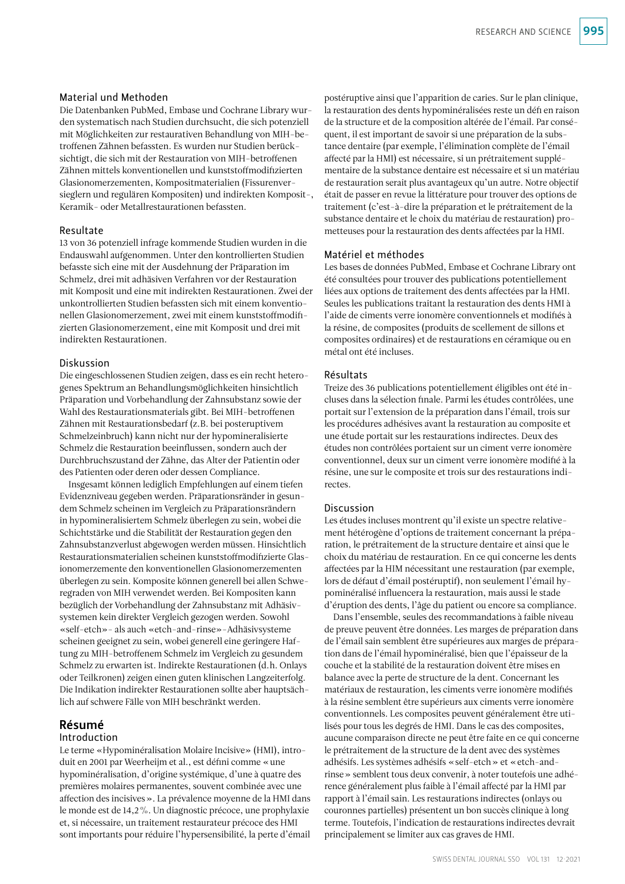### Material und Methoden

Die Datenbanken PubMed, Embase und Cochrane Library wurden systematisch nach Studien durchsucht, die sich potenziell mit Möglichkeiten zur restaurativen Behandlung von MIH-betroffenen Zähnen befassten. Es wurden nur Studien berücksichtigt, die sich mit der Restauration von MIH-betroffenen Zähnen mittels konventionellen und kunststoffmodifizierten Glasionomerzementen, Kompositmaterialien (Fissurenversieglern und regulären Kompositen) und indirekten Komposit-, Keramik- oder Metallrestaurationen befassten.

#### Resultate

13 von 36 potenziell infrage kommende Studien wurden in die Endauswahl aufgenommen. Unter den kontrollierten Studien befasste sich eine mit der Ausdehnung der Präparation im Schmelz, drei mit adhäsiven Verfahren vor der Restauration mit Komposit und eine mit indirekten Restaurationen. Zwei der unkontrollierten Studien befassten sich mit einem konventionellen Glasionomerzement, zwei mit einem kunststoffmodifizierten Glasionomerzement, eine mit Komposit und drei mit indirekten Restaurationen.

### Diskussion

Die eingeschlossenen Studien zeigen, dass es ein recht heterogenes Spektrum an Behandlungsmöglichkeiten hinsichtlich Präparation und Vorbehandlung der Zahnsubstanz sowie der Wahl des Restaurationsmaterials gibt. Bei MIH-betroffenen Zähnen mit Restaurationsbedarf (z.B. bei posteruptivem Schmelzeinbruch) kann nicht nur der hypomineralisierte Schmelz die Restauration beeinflussen, sondern auch der Durchbruchszustand der Zähne, das Alter der Patientin oder des Patienten oder deren oder dessen Compliance.

Insgesamt können lediglich Empfehlungen auf einem tiefen Evidenzniveau gegeben werden. Präparationsränder in gesundem Schmelz scheinen im Vergleich zu Präparationsrändern in hypomineralisiertem Schmelz überlegen zu sein, wobei die Schichtstärke und die Stabilität der Restauration gegen den Zahnsubstanzverlust abgewogen werden müssen. Hinsichtlich Restaurationsmaterialien scheinen kunststoffmodifizierte Glasionomerzemente den konventionellen Glasionomerzementen überlegen zu sein. Komposite können generell bei allen Schweregraden von MIH verwendet werden. Bei Kompositen kann bezüglich der Vorbehandlung der Zahnsubstanz mit Adhäsivsystemen kein direkter Vergleich gezogen werden. Sowohl «self-etch»- als auch «etch-and-rinse»-Adhäsivsysteme scheinen geeignet zu sein, wobei generell eine geringere Haftung zu MIH-betroffenem Schmelz im Vergleich zu gesundem Schmelz zu erwarten ist. Indirekte Restaurationen (d.h. Onlays oder Teilkronen) zeigen einen guten klinischen Langzeiterfolg. Die Indikation indirekter Restaurationen sollte aber hauptsächlich auf schwere Fälle von MIH beschränkt werden.

## Résumé

### Introduction

Le terme «Hypominéralisation Molaire Incisive» (HMI), introduit en 2001 par Weerheijm et al., est défini comme «une hypominéralisation, d'origine systémique, d'une à quatre des premières molaires permanentes, souvent combinée avec une affection des incisives». La prévalence moyenne de la HMI dans le monde est de 14,2%. Un diagnostic précoce, une prophylaxie et, si nécessaire, un traitement restaurateur précoce des HMI sont importants pour réduire l'hypersensibilité, la perte d'émail

postéruptive ainsi que l'apparition de caries. Sur le plan clinique, la restauration des dents hypominéralisées reste un défi en raison de la structure et de la composition altérée de l'émail. Par conséquent, il est important de savoir si une préparation de la substance dentaire (par exemple, l'élimination complète de l'émail affecté par la HMI) est nécessaire, si un prétraitement supplémentaire de la substance dentaire est nécessaire et si un matériau de restauration serait plus avantageux qu'un autre. Notre objectif était de passer en revue la littérature pour trouver des options de traitement (c'est-à-dire la préparation et le prétraitement de la substance dentaire et le choix du matériau de restauration) prometteuses pour la restauration des dents affectées par la HMI.

#### Matériel et méthodes

Les bases de données PubMed, Embase et Cochrane Library ont été consultées pour trouver des publications potentiellement liées aux options de traitement des dents affectées par la HMI. Seules les publications traitant la restauration des dents HMI à l'aide de ciments verre ionomère conventionnels et modifiés à la résine, de composites (produits de scellement de sillons et composites ordinaires) et de restaurations en céramique ou en métal ont été incluses.

#### Résultats

Treize des 36 publications potentiellement éligibles ont été incluses dans la sélection finale. Parmi les études contrôlées, une portait sur l'extension de la préparation dans l'émail, trois sur les procédures adhésives avant la restauration au composite et une étude portait sur les restaurations indirectes. Deux des études non contrôlées portaient sur un ciment verre ionomère conventionnel, deux sur un ciment verre ionomère modifié à la résine, une sur le composite et trois sur des restaurations indirectes.

#### Discussion

Les études incluses montrent qu'il existe un spectre relativement hétérogène d'options de traitement concernant la préparation, le prétraitement de la structure dentaire et ainsi que le choix du matériau de restauration. En ce qui concerne les dents affectées par la HIM nécessitant une restauration (par exemple, lors de défaut d'émail postéruptif), non seulement l'émail hypominéralisé influencera la restauration, mais aussi le stade d'éruption des dents, l'âge du patient ou encore sa compliance.

Dans l'ensemble, seules des recommandations à faible niveau de preuve peuvent être données. Les marges de préparation dans de l'émail sain semblent être supérieures aux marges de préparation dans de l'émail hypominéralisé, bien que l'épaisseur de la couche et la stabilité de la restauration doivent être mises en balance avec la perte de structure de la dent. Concernant les matériaux de restauration, les ciments verre ionomère modifiés à la résine semblent être supérieurs aux ciments verre ionomère conventionnels. Les composites peuvent généralement être utilisés pour tous les degrés de HMI. Dans le cas des composites, aucune comparaison directe ne peut être faite en ce qui concerne le prétraitement de la structure de la dent avec des systèmes adhésifs. Les systèmes adhésifs «self-etch» et «etch-andrinse» semblent tous deux convenir, à noter toutefois une adhérence généralement plus faible à l'émail affecté par la HMI par rapport à l'émail sain. Les restaurations indirectes (onlays ou couronnes partielles) présentent un bon succès clinique à long terme. Toutefois, l'indication de restaurations indirectes devrait principalement se limiter aux cas graves de HMI.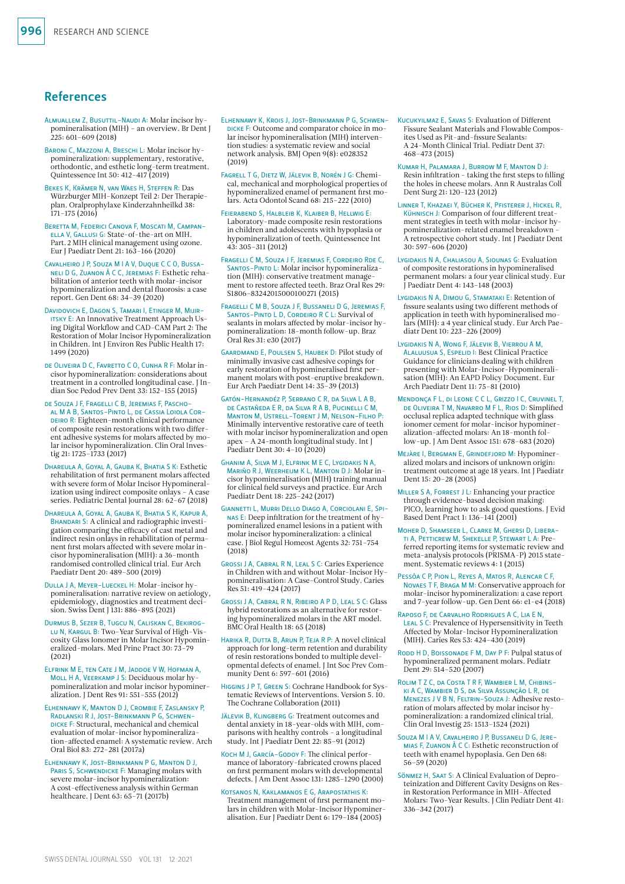## References

- Almuallem Z, Busuttil-Naudi A: Molar incisor hypomineralisation (MIH) – an overview. Br Dent J 225: 601–609 (2018)
- Baroni C, Mazzoni A, Breschi L: Molar incisor hypomineralization: supplementary, restorative, orthodontic, and esthetic long-term treatment. Quintessence Int 50: 412–417 (2019)
- Bekes K, Krämer N, van Waes H, Steffen R: Das Würzburger MIH-Konzept Teil 2: Der Therapieplan. Oralprophylaxe Kinderzahnheilkd 38: 171–175 (2016)
- Beretta M, Federici Canova F, Moscati M, Campanella V, Gallusi G: State-of-the-art on MIH. Part.2 MIH clinical management using ozone. Eur J Paediatr Dent 21: 163–166 (2020)
- Cavalheiro J P, Souza M I A V, Duque C C O, Bussaneli D G, Zuanon Â C C, Jeremias F: Esthetic rehabilitation of anterior teeth with molar-incisor hypomineralization and dental fluorosis: a case report. Gen Dent 68: 34–39 (2020)
- Davidovich E, Dagon S, Tamari I, Etinger M, Mijiritsky E: An Innovative Treatment Approach Us-ing Digital Workflow and CAD-CAM Part 2: The Restoration of Molar Incisor Hypomineralization in Children. Int J Environ Res Public Health 17: 1499 (2020)
- de Oliveira D C, Favretto C O, Cunha R F: Molar incisor hypomineralization: considerations about treatment in a controlled longitudinal case. J Indian Soc Pedod Prev Dent 33: 152–155 (2015)
- de Souza J F, Fragelli C B, Jeremias F, Paschoal M A B, Santos-Pinto L, de Cassia Loiola Cor-DEIRO R: Eighteen-month clinical performance of composite resin restorations with two different adhesive systems for molars affected by molar incisor hypomineralization. Clin Oral Investig 21: 1725–1733 (2017)
- Dhareula A, Goyal A, Gauba K, Bhatia S K: Esthetic rehabilitation of first permanent molars affected with severe form of Molar Incisor Hypomineralization using indirect composite onlays – A case series. Pediatric Dental Journal 28: 62–67 (2018)
- Dhareula A, Goyal A, Gauba K, Bhatia S K, Kapur A, BHANDARI S: A clinical and radiographic investigation comparing the efficacy of cast metal and indirect resin onlays in rehabilitation of permanent first molars affected with severe molar incisor hypomineralisation (MIH): a 36-month randomised controlled clinical trial. Eur Arch Paediatr Dent 20: 489–500 (2019)
- Dulla J A, Meyer-Lueckel H: Molar-incisor hypomineralisation: narrative review on aetiology, epidemiology, diagnostics and treatment decision. Swiss Dent J 131: 886–895 (2021)
- Durmus B, Sezer B, Tugcu N, Caliskan C, Bekiroglu N, Kargul B: Two-Year Survival of High-Vis-cosity Glass Ionomer in Molar Incisor Hypomineralized-molars. Med Princ Pract 30: 73–79 (2021)
- Elfrink M E, ten Cate J M, Jaddoe V W, Hofman A, MOLL H A, VEERKAMP J S: Deciduous molar hypomineralization and molar incisor hypomineralization. J Dent Res 91: 551–555 (2012)
- Elhennawy K, Manton D J, Crombie F, Zaslansky P, Radlanski R J, Jost-Brinkmann P G, Schwen-DICKE F: Structural, mechanical and chemical evaluation of molar-incisor hypomineralization-affected enamel: A systematic review. Arch Oral Biol 83: 272–281 (2017a)
- Elhennawy K, Jost-Brinkmann P G, Manton D J, PARIS S, SCHWENDICKE F: Managing molars with severe molar-incisor hypomineralization: A cost-effectiveness analysis within German healthcare. J Dent 63: 65–71 (2017b)
- Elhennawy K, Krois J, Jost-Brinkmann P G, Schwen-DICKE F: Outcome and comparator choice in molar incisor hypomineralisation (MIH) intervention studies: a systematic review and social network analysis. BMJ Open 9(8): e028352 (2019)
- Fagrell T G, Dietz W, Jälevik B, Norén J G: Chemical, mechanical and morphological properties of hypomineralized enamel of permanent first molars. Acta Odontol Scand 68: 215–222 (2010)
- Feierabend S, Halbleib K, Klaiber B, Hellwig E: Laboratory-made composite resin restorations in children and adolescents with hypoplasia or hypomineralization of teeth. Quintessence Int 43: 305–311 (2012)
- Fragelli C M, Souza J F, Jeremias F, Cordeiro Rde C, Santos-Pinto L: Molar incisor hypomineralization (MIH): conservative treatment management to restore affected teeth. Braz Oral Res 29: S1806-83242015000100271 (2015)
- Fragelli C M B, Souza J F, Bussaneli D G, Jeremias F, SANTOS-PINTO L D, CORDEIRO R C L: Survival of sealants in molars affected by molar-incisor hypomineralization: 18-month follow-up. Braz Oral Res 31: e30 (2017)
- Gaardmand E, Poulsen S, Haubek D: Pilot study of minimally invasive cast adhesive copings for early restoration of hypomineralised first permanent molars with post-eruptive breakdown. Eur Arch Paediatr Dent 14: 35–39 (2013)
- Gatón-Hernandéz P, Serrano C R, da Silva L A B, de Castañeda E R, da Silva R A B, Pucinelli C M, MANTON M, USTRELL-TORENT J M, NELSON-FILHO P Minimally interventive restorative care of teeth with molar incisor hypomineralization and open apex – A 24-month longitudinal study. Int J Paediatr Dent 30: 4–10 (2020)
- Ghanim A, Silva M J, Elfrink M E C, Lygidakis N A, Mariño R J, Weerheijm K L, Manton D J: Molar incisor hypomineralisation (MIH) training manual for clinical field surveys and practice. Eur Arch Paediatr Dent 18: 225–242 (2017)
- Giannetti L, Murri Dello Diago A, Corciolani E, Spinas E: Deep infiltration for the treatment of hypomineralized enamel lesions in a patient with molar incisor hypomineralization: a clinical case. J Biol Regul Homeost Agents 32: 751–754  $(2018)$
- Grossi J A, Cabral R N, Leal S C: Caries Experience in Children with and without Molar-Incisor Hypomineralisation: A Case-Control Study. Caries Res 51: 419–424 (2017)
- Grossi J A, Cabral R N, Ribeiro A P D, Leal S C: Glass hybrid restorations as an alternative for restoring hypomineralized molars in the ART model. BMC Oral Health 18: 65 (2018)
- Harika R, Dutta B, Arun P, Teja R P: A novel clinical approach for long-term retention and durability of resin restorations bonded to multiple developmental defects of enamel. J Int Soc Prev Community Dent 6: 597–601 (2016)
- Higgins J P T, Green S: Cochrane Handbook for Systematic Reviews of Interventions. Version 5. 10. The Cochrane Collaboration (2011)
- JÄLEVIK B, KLINGBERG G: Treatment outcomes and dental anxiety in 18-year-olds with MIH, comparisons with healthy controls – a longitudinal study. Int J Paediatr Dent 22: 85–91 (2012)
- Koch M J, García-Godoy F: The clinical performance of laboratory-fabricated crowns placed on first permanent molars with developmental defects. J Am Dent Assoc 131: 1285–1290 (2000)
- KOTSANOS N, KAKLAMANOS E G, ARAPOSTATHIS K Treatment management of first permanent molars in children with Molar-Incisor Hypomineralisation. Eur J Paediatr Dent 6: 179–184 (2005)
- Kucukyilmaz E, Savas S: Evaluation of Different Fissure Sealant Materials and Flowable Composites Used as Pit-and-fissure Sealants: A 24-Month Clinical Trial. Pediatr Dent 37: 468–473 (2015)
- Kumar H, Palamara J, Burrow M F, Manton D J: Resin infiltration - taking the first steps to filling the holes in cheese molars. Ann R Australas Coll Dent Surg 21: 120–123 (2012)
- Linner T, Khazaei Y, Bücher K, Pfisterer J, Hickel R, Kühnisch J: Comparison of four different treatment strategies in teeth with molar-incisor hypomineralization-related enamel breakdown – A retrospective cohort study. Int J Paediatr Dent 30: 597–606 (2020)
- Lygidakis N A, Chaliasou A, Siounas G: Evaluation of composite restorations in hypomineralised permanent molars: a four year clinical study. Eur J Paediatr Dent 4: 143–148 (2003)
- Lygidakis N A, Dimou G, Stamataki E: Retention of fissure sealants using two different methods of application in teeth with hypomineralised molars (MIH): a 4 year clinical study. Eur Arch Paediatr Dent 10: 223–226 (2009)
- Lygidakis N A, Wong F, Jälevik B, Vierrou A M, Alaluusua S, Espelid I: Best Clinical Practice Guidance for clinicians dealing with children presenting with Molar-Incisor-Hypomineralisation (MIH): An EAPD Policy Document. Eur Arch Paediatr Dent 11: 75–81 (2010)
- MENDONÇA E L, DI LEONE C C L, GRIZZO LC, CRUVINEL T de Oliveira T M, Navarro M F L, Rios D: Simplified occlusal replica adapted technique with glass ionomer cement for molar-incisor hypomineralization-affected molars: An 18-month follow-up. J Am Dent Assoc 151: 678–683 (2020)
- Mejàre I, Bergman E, Grindefjord M: Hypomineralized molars and incisors of unknown origin: treatment outcome at age 18 years. Int J Paediatr Dent 15: 20–28 (2005)
- Miller S A, Forrest J L: Enhancing your practice through evidence-based decision making: PICO, learning how to ask good questions. J Evid Based Dent Pract 1: 136–141 (2001)
- Moher D, Shamseer L, Clarke M, Ghersi D, Liberati A, Petticrew M, Shekelle P, Stewart L A: Preferred reporting items for systematic review and meta-analysis protocols (PRISMA-P) 2015 statement. Systematic reviews 4: 1 (2015)
- Pessôa C P, Pion L, Reyes A, Matos R, Alencar C F, Novaes T F, Braga M M: Conservative approach for molar-incisor hypomineralization: a case report and 7-year follow-up. Gen Dent 66: e1-e4 (2018)
- Raposo F, de Carvalho Rodrigues A C, Lia E N, Leal S C: Prevalence of Hypersensitivity in Teeth Affected by Molar-Incisor Hypomineralization (MIH). Caries Res 53: 424–430 (2019)
- RODD H D, BOISSONADE F M, DAY P F: Pulpal status of hypomineralized permanent molars. Pediatr Dent 29: 514–520 (2007)
- Rolim T Z C, da Costa T R F, Wambier L M, Chibinski A C, Wambier D S, da Silva Assunção L R, de Menezes J V B N, Feltrin-Souza J: Adhesive restoration of molars affected by molar incisor hypomineralization: a randomized clinical trial. Clin Oral Investig 25: 1513–1524 (2021)
- Souza M I A V, Cavalheiro J P, Bussaneli D G, Jeremias F, Zuanon Â C C: Esthetic reconstruction of teeth with enamel hypoplasia. Gen Den 68: 56–59 (2020)
- Sönmez H, Saat S: A Clinical Evaluation of Deproteinization and Different Cavity Designs on Resin Restoration Performance in MIH-Affected Molars: Two-Year Results. J Clin Pediatr Dent 41: 336–342 (2017)